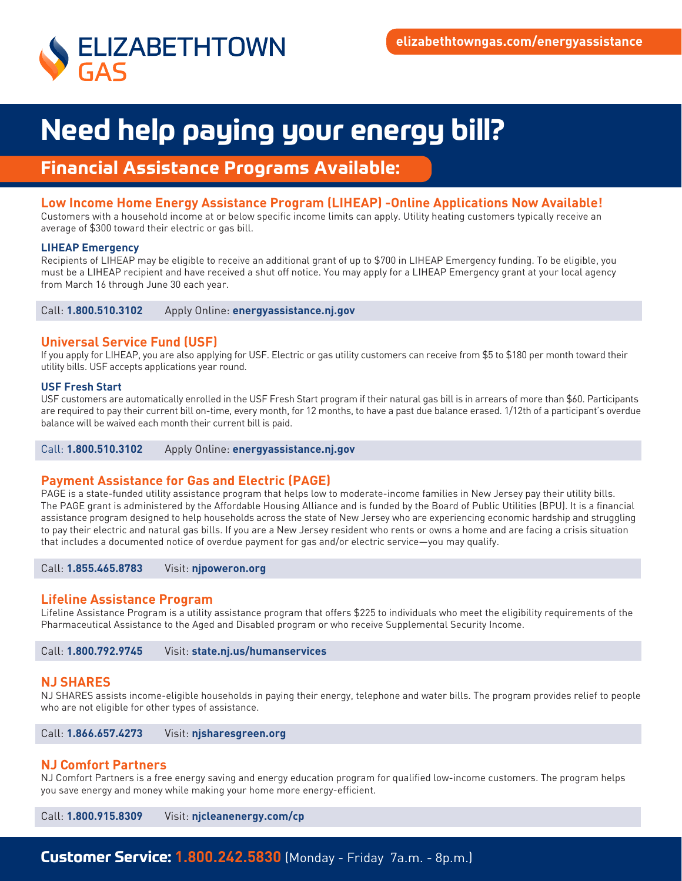

# **Need help paying your energy bill?**

# **Financial Assistance Programs Available:**

# **Low Income Home Energy Assistance Program (LIHEAP) -Online Applications Now Available!**

Customers with a household income at or below specific income limits can apply. Utility heating customers typically receive an average of \$300 toward their electric or gas bill.

### **LIHEAP Emergency**

Recipients of LIHEAP may be eligible to receive an additional grant of up to \$700 in LIHEAP Emergency funding. To be eligible, you must be a LIHEAP recipient and have received a shut off notice. You may apply for a LIHEAP Emergency grant at your local agency from March 16 through June 30 each year.

Call: **1.800.510.3102** Apply Online: **energyassistance.nj.gov**

# **Universal Service Fund (USF)**

If you apply for LIHEAP, you are also applying for USF. Electric or gas utility customers can receive from \$5 to \$180 per month toward their utility bills. USF accepts applications year round.

### **USF Fresh Start**

USF customers are automatically enrolled in the USF Fresh Start program if their natural gas bill is in arrears of more than \$60. Participants are required to pay their current bill on-time, every month, for 12 months, to have a past due balance erased. 1/12th of a participant's overdue balance will be waived each month their current bill is paid.

### Call: **1.800.510.3102** Apply Online: **energyassistance.nj.gov**

## **Payment Assistance for Gas and Electric (PAGE)**

PAGE is a state-funded utility assistance program that helps low to moderate-income families in New Jersey pay their utility bills. The PAGE grant is administered by the Affordable Housing Alliance and is funded by the Board of Public Utilities (BPU). It is a financial assistance program designed to help households across the state of New Jersey who are experiencing economic hardship and struggling to pay their electric and natural gas bills. If you are a New Jersey resident who rents or owns a home and are facing a crisis situation that includes a documented notice of overdue payment for gas and/or electric service—you may qualify.

Call: **1.855.465.8783** Visit: **njpoweron.org**

## **Lifeline Assistance Program**

Lifeline Assistance Program is a utility assistance program that offers \$225 to individuals who meet the eligibility requirements of the Pharmaceutical Assistance to the Aged and Disabled program or who receive Supplemental Security Income.

Call: **1.800.792.9745** Visit: **state.nj.us/humanservices**

### **NJ SHARES**

NJ SHARES assists income-eligible households in paying their energy, telephone and water bills. The program provides relief to people who are not eligible for other types of assistance.

Call: **1.866.657.4273** Visit: **njsharesgreen.org**

## **NJ Comfort Partners**

NJ Comfort Partners is a free energy saving and energy education program for qualified low-income customers. The program helps you save energy and money while making your home more energy-efficient.

Call: **1.800.915.8309** Visit: **njcleanenergy.com/cp** 

# **Customer Service: 1.800.242.5830** (Monday - Friday 7a.m. - 8p.m.)